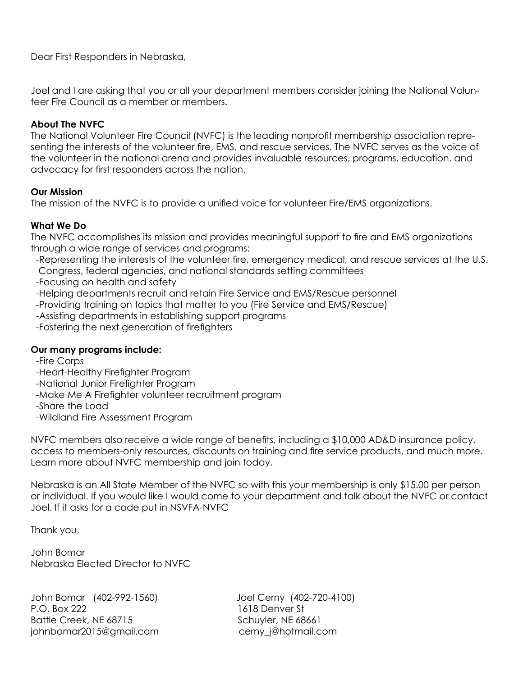Dear First Responders in Nebraska,

Joel and I are asking that you or all your department members consider joining the National Volunteer Fire Council as a member or members.

### **About The NVFC**

The National Volunteer Fire Council (NVFC) is the leading nonprofit membership association representing the interests of the volunteer fire, EMS, and rescue services. The NVFC serves as the voice of the volunteer in the national arena and provides invaluable resources, programs, education, and advocacy for first responders across the nation.

### **Our Mission**

The mission of the NVFC is to provide a unified voice for volunteer Fire/EMS organizations.

### **What We Do**

The NVFC accomplishes its mission and provides meaningful support to fire and EMS organizations through a wide range of services and programs:

- -Representing the interests of the volunteer fire, emergency medical, and rescue services at the U.S. Congress, federal agencies, and national standards setting committees
- -Focusing on health and safety

-Helping departments recruit and retain Fire Service and EMS/Rescue personnel

-Providing training on topics that matter to you (Fire Service and EMS/Rescue)

- -Assisting departments in establishing support programs
- -Fostering the next generation of firefighters

### **Our many programs include:**

- -Fire Corps
- -Heart-Healthy Firefighter Program
- -National Junior Firefighter Program
- -Make Me A Firefighter volunteer recruitment program
- -Share the Load
- -Wildland Fire Assessment Program

NVFC members also receive a wide range of benefits, including a \$10,000 AD&D insurance policy, access to members-only resources, discounts on training and fire service products, and much more. Learn more about NVFC membership and join today.

Nebraska is an All State Member of the NVFC so with this your membership is only \$15.00 per person or individual. If you would like I would come to your department and talk about the NVFC or contact Joel. If it asks for a code put in NSVFA-NVFC

Thank you,

John Bomar Nebraska Elected Director to NVFC

John Bomar (402-992-1560) P.O. Box 222 Battle Creek, NE 68715 johnbomar2015@gmail.com cerny\_j@hotmail.com

Joel Cerny (402-720-4100) 1618 Denver St Schuyler, NE 68661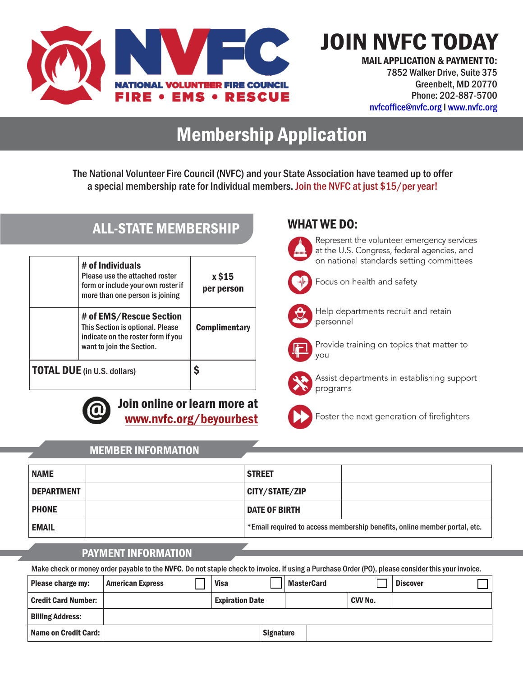

ALL-STATE MEMBERSHIP

JOIN NVFC TODAY

MAIL APPLICATION & PAYMENT TO: 7852 Walker Drive, Suite 375 Greenbelt, MD 20770 Phone: 202-887-5700 nvfcoffice@nvfc.org I www.nvfc.org

# Membership Application

The National Volunteer Fire Council (NVFC) and your State Association have teamed up to offer a special membership rate for Individual members. Join the NVFC at just \$15/per year!

|                                    | # of Individuals<br>Please use the attached roster<br>form or include your own roster if<br>more than one person is joining    | x \$15<br>per person |
|------------------------------------|--------------------------------------------------------------------------------------------------------------------------------|----------------------|
|                                    | # of EMS/Rescue Section<br>This Section is optional. Please<br>indicate on the roster form if you<br>want to join the Section. | <b>Complimentary</b> |
| <b>TOTAL DUE</b> (in U.S. dollars) |                                                                                                                                |                      |



Join online or learn more at www.nvfc.org/beyourbest

### WHAT WE DO:



Represent the volunteer emergency services at the U.S. Congress, federal agencies, and on national standards setting committees



Focus on health and safety



Help departments recruit and retain personnel



Provide training on topics that matter to you



Assist departments in establishing support programs



Foster the next generation of firefighters

### MEMBER INFORMATION

| <b>NAME</b>       | <b>STREET</b>                                                             |
|-------------------|---------------------------------------------------------------------------|
| <b>DEPARTMENT</b> | CITY/STATE/ZIP                                                            |
| <b>PHONE</b>      | <b>DATE OF BIRTH</b>                                                      |
| <b>EMAIL</b>      | *Email required to access membership benefits, online member portal, etc. |

### PAYMENT INFORMATION

Make check or money order payable to the NVFC. Do not staple check to invoice. If using a Purchase Order (PO), please consider this your invoice.

| Please charge my:          | <b>American Express</b> | <b>Visa</b>            |                  | <b>MasterCard</b> |         | <b>Discover</b> |  |
|----------------------------|-------------------------|------------------------|------------------|-------------------|---------|-----------------|--|
| <b>Credit Card Number:</b> |                         | <b>Expiration Date</b> |                  |                   | CVV No. |                 |  |
| <b>Billing Address:</b>    |                         |                        |                  |                   |         |                 |  |
| Name on Credit Card:       |                         |                        | <b>Signature</b> |                   |         |                 |  |